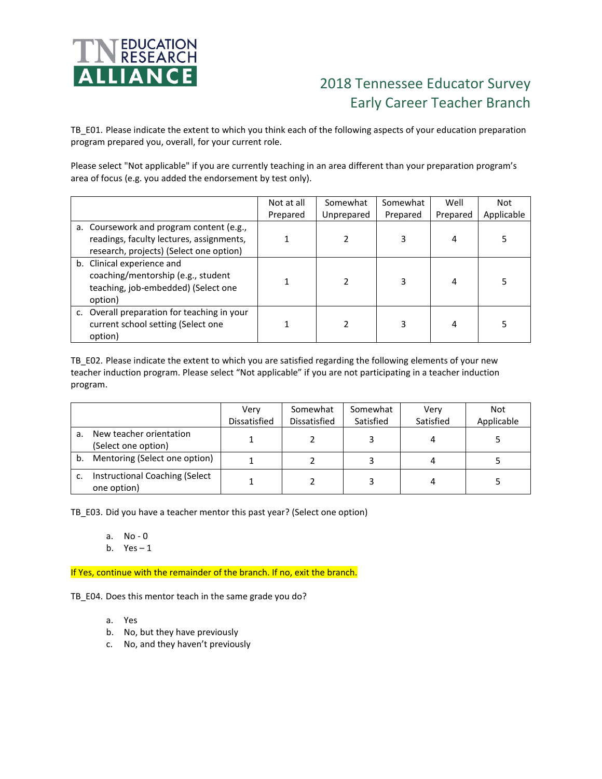

## 2018 Tennessee Educator Survey Early Career Teacher Branch

TB\_E01. Please indicate the extent to which you think each of the following aspects of your education preparation program prepared you, overall, for your current role.

Please select "Not applicable" if you are currently teaching in an area different than your preparation program's area of focus (e.g. you added the endorsement by test only).

|                                                                                                                                 | Not at all | Somewhat   | Somewhat | Well     | <b>Not</b> |
|---------------------------------------------------------------------------------------------------------------------------------|------------|------------|----------|----------|------------|
|                                                                                                                                 | Prepared   | Unprepared | Prepared | Prepared | Applicable |
| a. Coursework and program content (e.g.,<br>readings, faculty lectures, assignments,<br>research, projects) (Select one option) |            |            | 3        | 4        |            |
| b. Clinical experience and<br>coaching/mentorship (e.g., student<br>teaching, job-embedded) (Select one<br>option)              |            |            |          | 4        |            |
| c. Overall preparation for teaching in your<br>current school setting (Select one<br>option)                                    |            |            |          | 4        |            |

TB\_E02. Please indicate the extent to which you are satisfied regarding the following elements of your new teacher induction program. Please select "Not applicable" if you are not participating in a teacher induction program.

|    |                                                | Verv         | Somewhat     | Somewhat  | Very      | Not        |
|----|------------------------------------------------|--------------|--------------|-----------|-----------|------------|
|    |                                                | Dissatisfied | Dissatisfied | Satisfied | Satisfied | Applicable |
| а. | New teacher orientation<br>(Select one option) |              |              |           | 4         |            |
| b. | Mentoring (Select one option)                  |              |              |           |           |            |
|    | Instructional Coaching (Select<br>one option)  |              |              |           |           |            |

TB\_E03. Did you have a teacher mentor this past year? (Select one option)

- a. No 0
- b.  $Yes-1$

If Yes, continue with the remainder of the branch. If no, exit the branch.

TB\_E04. Does this mentor teach in the same grade you do?

- a. Yes
- b. No, but they have previously
- c. No, and they haven't previously